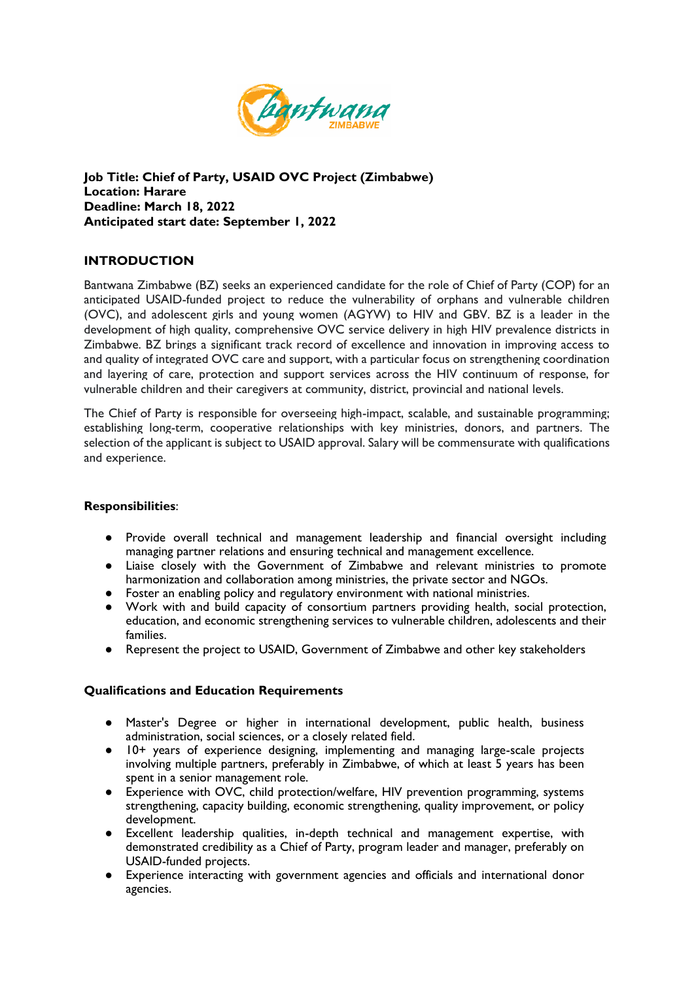

**Job Title: Chief of Party, USAID OVC Project (Zimbabwe) Location: Harare Deadline: March 18, 2022 Anticipated start date: September 1, 2022**

## **INTRODUCTION**

Bantwana Zimbabwe (BZ) seeks an experienced candidate for the role of Chief of Party (COP) for an anticipated USAID-funded project to reduce the vulnerability of orphans and vulnerable children (OVC), and adolescent girls and young women (AGYW) to HIV and GBV. BZ is a leader in the development of high quality, comprehensive OVC service delivery in high HIV prevalence districts in Zimbabwe. BZ brings a significant track record of excellence and innovation in improving access to and quality of integrated OVC care and support, with a particular focus on strengthening coordination and layering of care, protection and support services across the HIV continuum of response, for vulnerable children and their caregivers at community, district, provincial and national levels.

The Chief of Party is responsible for overseeing high-impact, scalable, and sustainable programming; establishing long-term, cooperative relationships with key ministries, donors, and partners. The selection of the applicant is subject to USAID approval. Salary will be commensurate with qualifications and experience.

## **Responsibilities**:

- Provide overall technical and management leadership and financial oversight including managing partner relations and ensuring technical and management excellence.
- Liaise closely with the Government of Zimbabwe and relevant ministries to promote harmonization and collaboration among ministries, the private sector and NGOs.
- Foster an enabling policy and regulatory environment with national ministries.
- Work with and build capacity of consortium partners providing health, social protection, education, and economic strengthening services to vulnerable children, adolescents and their families.
- Represent the project to USAID, Government of Zimbabwe and other key stakeholders

## **Qualifications and Education Requirements**

- Master's Degree or higher in international development, public health, business administration, social sciences, or a closely related field.
- 10+ years of experience designing, implementing and managing large-scale projects involving multiple partners, preferably in Zimbabwe, of which at least 5 years has been spent in a senior management role.
- Experience with OVC, child protection/welfare, HIV prevention programming, systems strengthening, capacity building, economic strengthening, quality improvement, or policy development.
- Excellent leadership qualities, in-depth technical and management expertise, with demonstrated credibility as a Chief of Party, program leader and manager, preferably on USAID-funded projects.
- Experience interacting with government agencies and officials and international donor agencies.